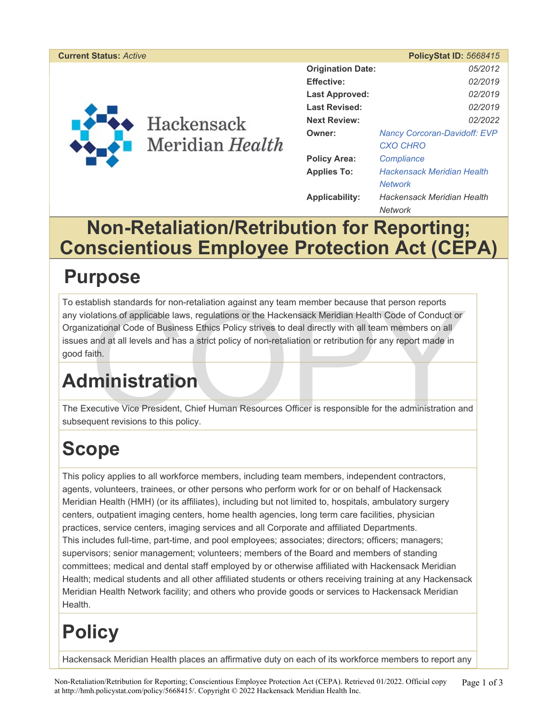#### **Current Status:** *Active* **PolicyStat ID:** *5668415*



| <b>Origination Date:</b> |                                     | 05/2012 |
|--------------------------|-------------------------------------|---------|
| <b>Effective:</b>        |                                     | 02/2019 |
| Last Approved:           |                                     | 02/2019 |
| <b>Last Revised:</b>     |                                     | 02/2019 |
| <b>Next Review:</b>      |                                     | 02/2022 |
| Owner:                   | <b>Nancy Corcoran-Davidoff: EVP</b> |         |
|                          | <b>CXO CHRO</b>                     |         |
| <b>Policy Area:</b>      | Compliance                          |         |
| <b>Applies To:</b>       | <b>Hackensack Meridian Health</b>   |         |
|                          | <b>Network</b>                      |         |
| Applicability:           | Hackensack Meridian Health          |         |
|                          | Network                             |         |

### **Non-Retaliation/Retribution for Reporting; Conscientious Employee Protection Act (CEPA)**

## **Purpose**

Abilish standards for non-retaliation against any team member because that person reports<br>
Alations of applicable laws, regulations or the Hackensack Meridian Health Code of Conduct or<br>
Zational Code of Business Ethics Pol To establish standards for non-retaliation against any team member because that person reports any violations of applicable laws, regulations or the Hackensack Meridian Health Code of Conduct or Organizational Code of Business Ethics Policy strives to deal directly with all team members on all issues and at all levels and has a strict policy of non-retaliation or retribution for any report made in good faith.

# **Administration**

The Executive Vice President, Chief Human Resources Officer is responsible for the administration and subsequent revisions to this policy.

# **Scope**

This policy applies to all workforce members, including team members, independent contractors, agents, volunteers, trainees, or other persons who perform work for or on behalf of Hackensack Meridian Health (HMH) (or its affiliates), including but not limited to, hospitals, ambulatory surgery centers, outpatient imaging centers, home health agencies, long term care facilities, physician practices, service centers, imaging services and all Corporate and affiliated Departments. This includes full-time, part-time, and pool employees; associates; directors; officers; managers; supervisors; senior management; volunteers; members of the Board and members of standing committees; medical and dental staff employed by or otherwise affiliated with Hackensack Meridian Health; medical students and all other affiliated students or others receiving training at any Hackensack Meridian Health Network facility; and others who provide goods or services to Hackensack Meridian Health.

# **Policy**

Hackensack Meridian Health places an affirmative duty on each of its workforce members to report any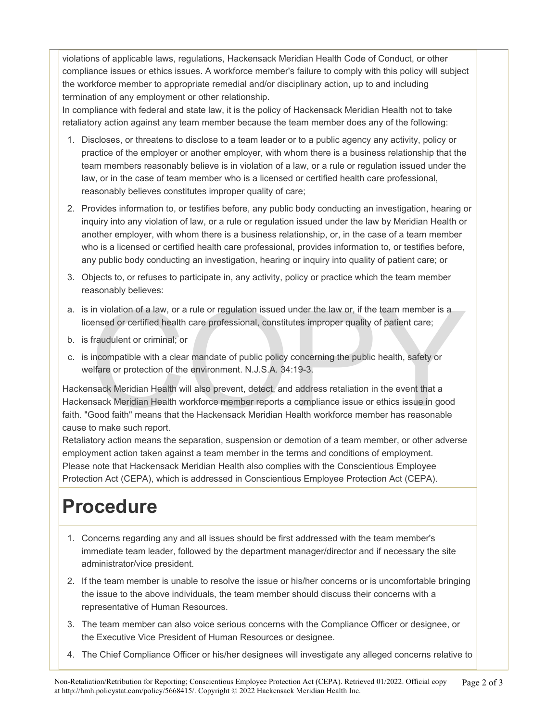violations of applicable laws, regulations, Hackensack Meridian Health Code of Conduct, or other compliance issues or ethics issues. A workforce member's failure to comply with this policy will subject the workforce member to appropriate remedial and/or disciplinary action, up to and including termination of any employment or other relationship.

In compliance with federal and state law, it is the policy of Hackensack Meridian Health not to take retaliatory action against any team member because the team member does any of the following:

- 1. Discloses, or threatens to disclose to a team leader or to a public agency any activity, policy or practice of the employer or another employer, with whom there is a business relationship that the team members reasonably believe is in violation of a law, or a rule or regulation issued under the law, or in the case of team member who is a licensed or certified health care professional, reasonably believes constitutes improper quality of care;
- 2. Provides information to, or testifies before, any public body conducting an investigation, hearing or inquiry into any violation of law, or a rule or regulation issued under the law by Meridian Health or another employer, with whom there is a business relationship, or, in the case of a team member who is a licensed or certified health care professional, provides information to, or testifies before, any public body conducting an investigation, hearing or inquiry into quality of patient care; or
- 3. Objects to, or refuses to participate in, any activity, policy or practice which the team member reasonably believes:
- a. is in violation of a law, or a rule or regulation issued under the law or, if the team member is a licensed or certified health care professional, constitutes improper quality of patient care;
- b. is fraudulent or criminal; or
- c. is incompatible with a clear mandate of public policy concerning the public health, safety or welfare or protection of the environment. N.J.S.A. 34:19-3.

in violation of a law, or a rule or regulation issued under the law or, if the team member is a<br>ensed or certified health care professional, constitutes improper quality of patient care;<br>fraudulent or criminal; or<br>incompat Hackensack Meridian Health will also prevent, detect, and address retaliation in the event that a Hackensack Meridian Health workforce member reports a compliance issue or ethics issue in good faith. "Good faith" means that the Hackensack Meridian Health workforce member has reasonable cause to make such report.

Retaliatory action means the separation, suspension or demotion of a team member, or other adverse employment action taken against a team member in the terms and conditions of employment. Please note that Hackensack Meridian Health also complies with the Conscientious Employee Protection Act (CEPA), which is addressed in Conscientious Employee Protection Act (CEPA).

## **Procedure**

- 1. Concerns regarding any and all issues should be first addressed with the team member's immediate team leader, followed by the department manager/director and if necessary the site administrator/vice president.
- 2. If the team member is unable to resolve the issue or his/her concerns or is uncomfortable bringing the issue to the above individuals, the team member should discuss their concerns with a representative of Human Resources.
- 3. The team member can also voice serious concerns with the Compliance Officer or designee, or the Executive Vice President of Human Resources or designee.
- 4. The Chief Compliance Officer or his/her designees will investigate any alleged concerns relative to